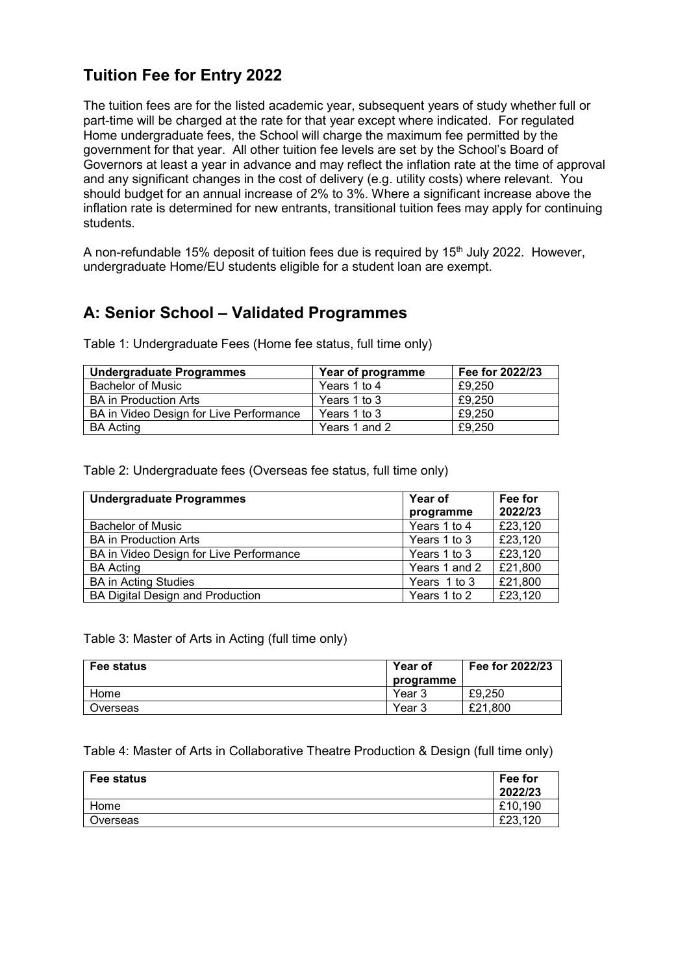# **Tuition Fee for Entry 2022**

The tuition fees are for the listed academic year, subsequent years of study whether full or part-time will be charged at the rate for that year except where indicated. For regulated Home undergraduate fees, the School will charge the maximum fee permitted by the government for that year. All other tuition fee levels are set by the School's Board of Governors at least a year in advance and may reflect the inflation rate at the time of approval and any significant changes in the cost of delivery (e.g. utility costs) where relevant. You should budget for an annual increase of 2% to 3%. Where a significant increase above the inflation rate is determined for new entrants, transitional tuition fees may apply for continuing students.

A non-refundable 15% deposit of tuition fees due is required by  $15<sup>th</sup>$  July 2022. However, undergraduate Home/EU students eligible for a student loan are exempt.

## **A: Senior School – Validated Programmes**

| <b>Undergraduate Programmes</b>         | Year of programme | Fee for 2022/23 |
|-----------------------------------------|-------------------|-----------------|
| <b>Bachelor of Music</b>                | Years 1 to 4      | £9.250          |
| <b>BA</b> in Production Arts            | Years 1 to 3      | £9.250          |
| BA in Video Design for Live Performance | Years 1 to 3      | £9.250          |
| <b>BA Acting</b>                        | Years 1 and 2     | £9.250          |

Table 1: Undergraduate Fees (Home fee status, full time only)

Table 2: Undergraduate fees (Overseas fee status, full time only)

| <b>Undergraduate Programmes</b>         | Year of       | Fee for |
|-----------------------------------------|---------------|---------|
|                                         | programme     | 2022/23 |
| <b>Bachelor of Music</b>                | Years 1 to 4  | £23,120 |
| <b>BA</b> in Production Arts            | Years 1 to 3  | £23,120 |
| BA in Video Design for Live Performance | Years 1 to 3  | £23,120 |
| <b>BA Acting</b>                        | Years 1 and 2 | £21,800 |
| <b>BA in Acting Studies</b>             | Years 1 to 3  | £21,800 |
| BA Digital Design and Production        | Years 1 to 2  | £23,120 |

Table 3: Master of Arts in Acting (full time only)

| <b>Fee status</b> | Year of<br>programme | Fee for 2022/23 |
|-------------------|----------------------|-----------------|
| Home              | Year 3               | £9.250          |
| Overseas          | Year 3               | £21.800         |

#### Table 4: Master of Arts in Collaborative Theatre Production & Design (full time only)

| Fee status | Fee for<br>2022/23 |
|------------|--------------------|
| Home       | £10,190            |
| Overseas   | £23,120            |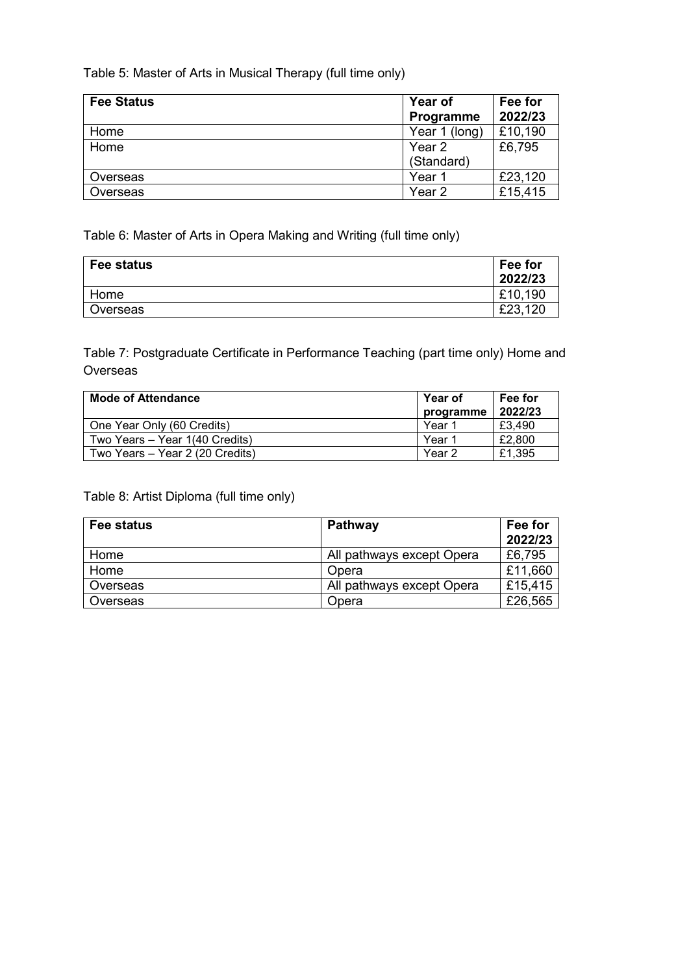Table 5: Master of Arts in Musical Therapy (full time only)

| <b>Fee Status</b> | <b>Year of</b>    | Fee for |
|-------------------|-------------------|---------|
|                   | Programme         | 2022/23 |
| Home              | Year 1 (long)     | £10,190 |
| Home              | Year 2            | £6,795  |
|                   | (Standard)        |         |
| Overseas          | Year 1            | £23,120 |
| Overseas          | Year <sub>2</sub> | £15,415 |

Table 6: Master of Arts in Opera Making and Writing (full time only)

| Fee status | Fee for<br>2022/23 |
|------------|--------------------|
| Home       | £10,190            |
| Overseas   | £23,120            |

Table 7: Postgraduate Certificate in Performance Teaching (part time only) Home and **Overseas** 

| <b>Mode of Attendance</b>       | <b>Year of</b> | Fee for |
|---------------------------------|----------------|---------|
|                                 | programme      | 2022/23 |
| One Year Only (60 Credits)      | Year 1         | £3.490  |
| Two Years - Year 1(40 Credits)  | Year 1         | £2,800  |
| Two Years - Year 2 (20 Credits) | Year 2         | £1.395  |

Table 8: Artist Diploma (full time only)

| Fee status | <b>Pathway</b>            | Fee for |
|------------|---------------------------|---------|
|            |                           | 2022/23 |
| Home       | All pathways except Opera | £6,795  |
| Home       | Opera                     | £11,660 |
| Overseas   | All pathways except Opera | £15,415 |
| Overseas   | Opera                     | £26,565 |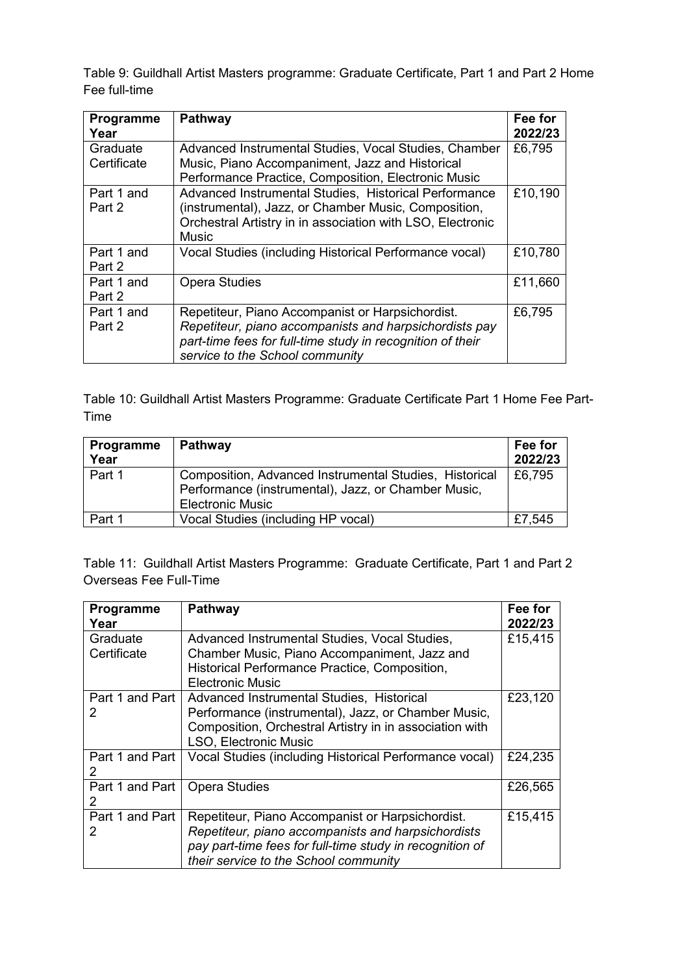Table 9: Guildhall Artist Masters programme: Graduate Certificate, Part 1 and Part 2 Home Fee full-time

| Programme<br>Year       | Pathway                                                                                                                                                                                                     | Fee for<br>2022/23 |
|-------------------------|-------------------------------------------------------------------------------------------------------------------------------------------------------------------------------------------------------------|--------------------|
| Graduate<br>Certificate | Advanced Instrumental Studies, Vocal Studies, Chamber<br>Music, Piano Accompaniment, Jazz and Historical<br>Performance Practice, Composition, Electronic Music                                             | £6,795             |
| Part 1 and<br>Part 2    | Advanced Instrumental Studies, Historical Performance<br>(instrumental), Jazz, or Chamber Music, Composition,<br>Orchestral Artistry in in association with LSO, Electronic<br>Music                        | £10,190            |
| Part 1 and<br>Part 2    | Vocal Studies (including Historical Performance vocal)                                                                                                                                                      | £10,780            |
| Part 1 and<br>Part 2    | <b>Opera Studies</b>                                                                                                                                                                                        | £11,660            |
| Part 1 and<br>Part 2    | Repetiteur, Piano Accompanist or Harpsichordist.<br>Repetiteur, piano accompanists and harpsichordists pay<br>part-time fees for full-time study in recognition of their<br>service to the School community | £6,795             |

Table 10: Guildhall Artist Masters Programme: Graduate Certificate Part 1 Home Fee Part-Time

| Programme<br>Year | Pathway                                                                                                                                  | Fee for<br>2022/23 |
|-------------------|------------------------------------------------------------------------------------------------------------------------------------------|--------------------|
| Part 1            | Composition, Advanced Instrumental Studies, Historical<br>Performance (instrumental), Jazz, or Chamber Music,<br><b>Electronic Music</b> | £6,795             |
| Part 1            | Vocal Studies (including HP vocal)                                                                                                       | £7,545             |

Table 11: Guildhall Artist Masters Programme: Graduate Certificate, Part 1 and Part 2 Overseas Fee Full-Time

| Programme<br>Year       | Pathway                                                                                                                                                                                                     | Fee for<br>2022/23 |
|-------------------------|-------------------------------------------------------------------------------------------------------------------------------------------------------------------------------------------------------------|--------------------|
| Graduate<br>Certificate | Advanced Instrumental Studies, Vocal Studies,<br>Chamber Music, Piano Accompaniment, Jazz and<br>Historical Performance Practice, Composition,<br>Electronic Music                                          | £15,415            |
| Part 1 and Part<br>2    | Advanced Instrumental Studies, Historical<br>Performance (instrumental), Jazz, or Chamber Music,<br>Composition, Orchestral Artistry in in association with<br><b>LSO, Electronic Music</b>                 | £23,120            |
| Part 1 and Part         | Vocal Studies (including Historical Performance vocal)                                                                                                                                                      | £24,235            |
| Part 1 and Part  <br>2  | <b>Opera Studies</b>                                                                                                                                                                                        | £26,565            |
| Part 1 and Part<br>2    | Repetiteur, Piano Accompanist or Harpsichordist.<br>Repetiteur, piano accompanists and harpsichordists<br>pay part-time fees for full-time study in recognition of<br>their service to the School community | £15,415            |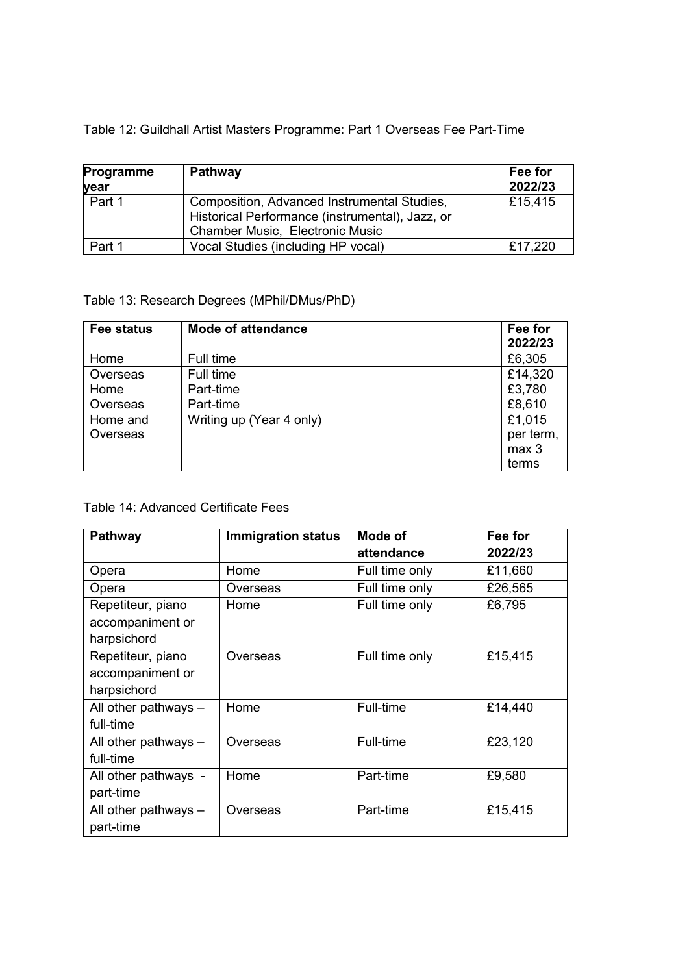Table 12: Guildhall Artist Masters Programme: Part 1 Overseas Fee Part-Time

| Programme<br>year | Pathway                                                                                                                                  | Fee for<br>2022/23 |
|-------------------|------------------------------------------------------------------------------------------------------------------------------------------|--------------------|
| Part 1            | Composition, Advanced Instrumental Studies,<br>Historical Performance (instrumental), Jazz, or<br><b>Chamber Music, Electronic Music</b> | £15,415            |
| Part 1            | Vocal Studies (including HP vocal)                                                                                                       | £17,220            |

## Table 13: Research Degrees (MPhil/DMus/PhD)

| <b>Fee status</b> | <b>Mode of attendance</b> | Fee for<br>2022/23 |
|-------------------|---------------------------|--------------------|
| Home              | Full time                 | £6,305             |
| Overseas          | Full time                 | £14,320            |
| Home              | Part-time                 | £3,780             |
| Overseas          | Part-time                 | £8,610             |
| Home and          | Writing up (Year 4 only)  | £1,015             |
| Overseas          |                           | per term,          |
|                   |                           | max 3              |
|                   |                           | terms              |

#### Table 14: Advanced Certificate Fees

| <b>Pathway</b>         | <b>Immigration status</b> | Mode of        | Fee for |
|------------------------|---------------------------|----------------|---------|
|                        |                           | attendance     | 2022/23 |
| Opera                  | Home                      | Full time only | £11,660 |
| Opera                  | Overseas                  | Full time only | £26,565 |
| Repetiteur, piano      | Home                      | Full time only | £6,795  |
| accompaniment or       |                           |                |         |
| harpsichord            |                           |                |         |
| Repetiteur, piano      | Overseas                  | Full time only | £15,415 |
| accompaniment or       |                           |                |         |
| harpsichord            |                           |                |         |
| All other pathways -   | Home                      | Full-time      | £14,440 |
| full-time              |                           |                |         |
| All other pathways -   | Overseas                  | Full-time      | £23,120 |
| full-time              |                           |                |         |
| All other pathways -   | Home                      | Part-time      | £9,580  |
| part-time              |                           |                |         |
| All other pathways $-$ | Overseas                  | Part-time      | £15,415 |
| part-time              |                           |                |         |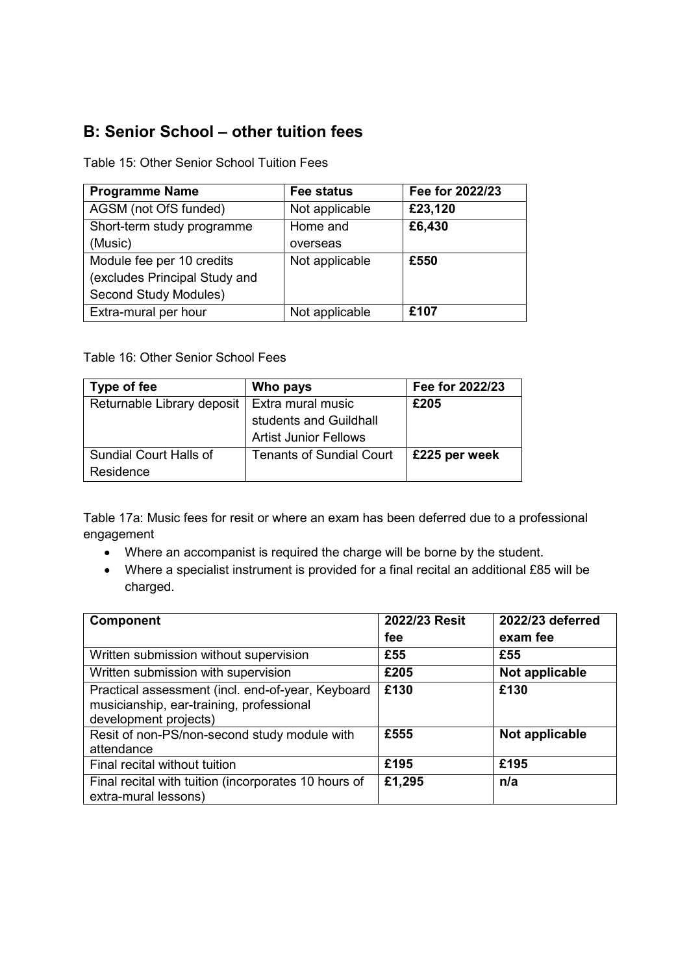# **B: Senior School – other tuition fees**

Table 15: Other Senior School Tuition Fees

| <b>Programme Name</b>        | <b>Fee status</b> | Fee for 2022/23 |
|------------------------------|-------------------|-----------------|
| AGSM (not OfS funded)        | Not applicable    | £23,120         |
| Short-term study programme   | Home and          | £6,430          |
| (Music)                      | overseas          |                 |
| Module fee per 10 credits    | Not applicable    | £550            |
| excludes Principal Study and |                   |                 |
| Second Study Modules)        |                   |                 |
| Extra-mural per hour         | Not applicable    | £107            |

Table 16: Other Senior School Fees

| Type of fee                   | Who pays                        | Fee for 2022/23 |
|-------------------------------|---------------------------------|-----------------|
| Returnable Library deposit    | Extra mural music               | £205            |
|                               | students and Guildhall          |                 |
|                               | <b>Artist Junior Fellows</b>    |                 |
| <b>Sundial Court Halls of</b> | <b>Tenants of Sundial Court</b> | £225 per week   |
| Residence                     |                                 |                 |

Table 17a: Music fees for resit or where an exam has been deferred due to a professional engagement

- Where an accompanist is required the charge will be borne by the student.
- Where a specialist instrument is provided for a final recital an additional £85 will be charged.

| <b>Component</b>                                                                                                       | 2022/23 Resit | 2022/23 deferred |
|------------------------------------------------------------------------------------------------------------------------|---------------|------------------|
|                                                                                                                        | fee           | exam fee         |
| Written submission without supervision                                                                                 | £55           | £55              |
| Written submission with supervision                                                                                    | £205          | Not applicable   |
| Practical assessment (incl. end-of-year, Keyboard<br>musicianship, ear-training, professional<br>development projects) | £130          | £130             |
| Resit of non-PS/non-second study module with<br>attendance                                                             | £555          | Not applicable   |
| Final recital without tuition                                                                                          | £195          | £195             |
| Final recital with tuition (incorporates 10 hours of<br>extra-mural lessons)                                           | £1,295        | n/a              |